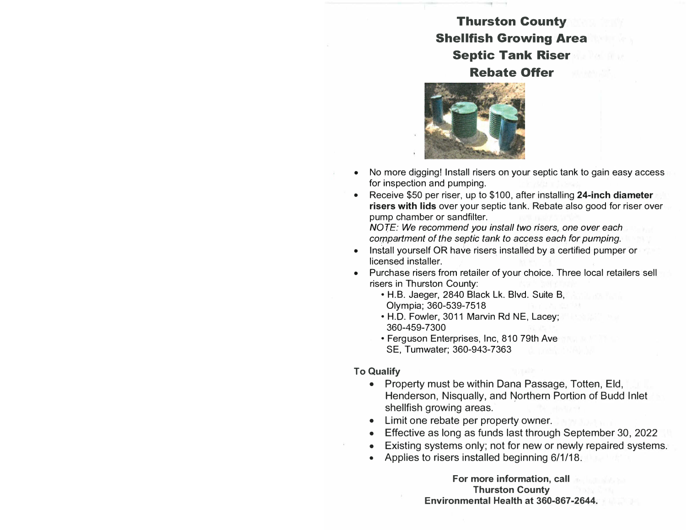## **Thurston County Shellfish Growing Area Septic Tank Riser Rebate Offer**



- No more digging! Install risers on your septic tank to gain easy access for inspection and pumping.
- Receive \$50 per riser, up to \$100, after installing **24-inch diameter risers with lids** over your septic tank. Rebate also good for riser over pump chamber or sandfilter;

*NOTE: We recommend you install two risers, one over each compartment of the septic tank to access each for pumping.* 

- Install yourself OR have risers installed by a certified pumper or licensed installer.
- Purchase risers from retailer of your choice. Three local retailers sell risers in Thurston County:
	- H.B. Jaeger, 2840 Black Lk. Blvd. Suite B, Olympia; 360-539-7518
	- H.D. Fowler, 3011 Marvin Rd NE, Lacey; 360-459-7300
	- Ferguson Enterprises, Inc, 810 79th Ave SE, Tumwater; 360-943-7363

## **To Qualify**

- Property must be within Dana Passage, Totten, Eld, Henderson, Nisqually, and Northern Portion of Budd Inlet shellfish growing areas.
- Limit one rebate per property owner.
- Effective as long as funds last through September 30, 2022
- Existing systems only; not for new or newly repaired systems.
- Applies to risers installed beginning 6/1/18.

**For more information, call Thurston County Environmental Health at 360-867-2644.**